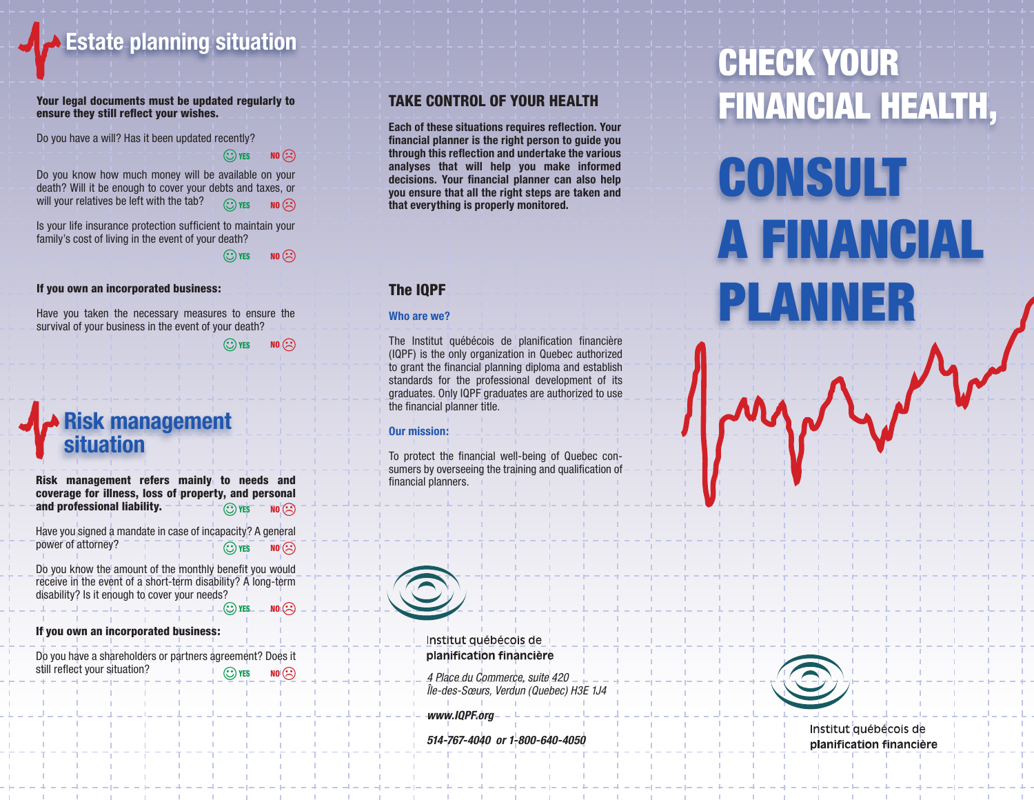**Estate planning situation**

Your legal documents must be updated regularly to ensure they still reflect your wishes.

Do you have a will? Has it been updated recently?

 $\odot$  yes no  $\odot$ 

Do you know how much money will be available on your death? Will it be enough to cover your debts and taxes, or will your relatives be left with the tab?  $\odot$  YES NO  $\odot$ 

Is your life insurance protection sufficient to maintain your family's cost of living in the event of your death?

 $\odot$  yes no  $\odot$ 

#### If you own an incorporated business:

Have you taken the necessary measures to ensure the survival of your business in the event of your death?

 $\odot$  yes no  $\odot$ 

# **Risk management situation**

Risk management refers mainly to needs and coverage for illness, loss of property, and personal and professional liability.  $\circled{C}$  yes  $\overline{N}$  no  $\circled{C}$ 

Have you signed a mandate in case of incapacity? A general power of attorney?  $\odot$  yes no  $\odot$ 

Do you know the amount of the monthly benefit you would receive in the event of a short-term disability? A long-term disability? Is it enough to cover your needs?

 $\odot$  yes  $-$  no $\odot$ 

## If you own an incorporated business:

Do you have a shareholders or partners agreement? Does it still reflect your situation?  $\odot$  yes no  $\odot$ 

## Take control of your health

**Each of these situations requires reflection. Your financial planner is the right person to guide you through this reflection and undertake the various analyses that will help you make informed decisions. Your financial planner can also help you ensure that all the right steps are taken and that everything is properly monitored.**

## The IQPF

#### **Who are we?**

The Institut québécois de planification financière (IQPF) is the only organization in Quebec authorized to grant the financial planning diploma and establish standards for the professional development of its graduates. Only IQPF graduates are authorized to use the financial planner title.

### **Our mission:**

To protect the financial well-being of Quebec consumers by overseeing the training and qualification of financial planners.

> Institut québécois de planification financière

 *4 Place du Commerce, suite 420 Île-des-Sœurs, Verdun (Quebec) H3E 1J4*

 *www.IQPF.org*

 *514-767-4040 or 1-800-640-4050*



# consult a financial planner



## Institut québécois de planification financière